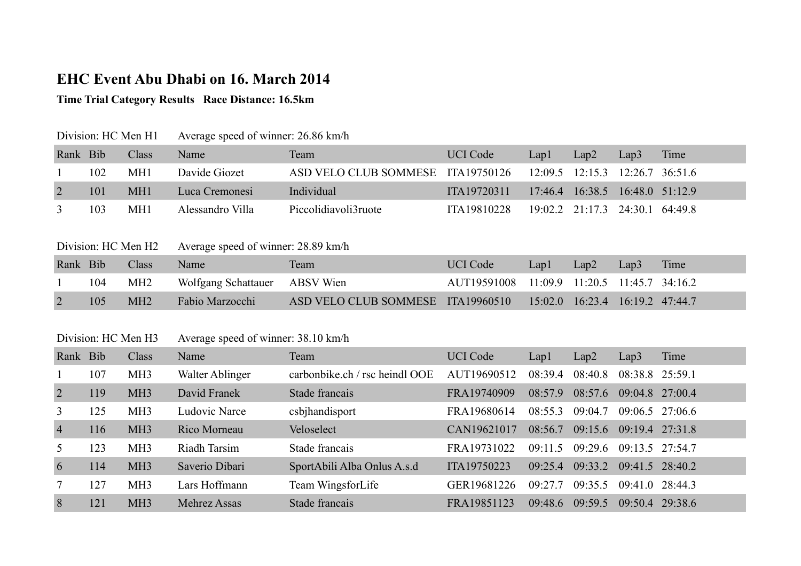# **EHC Event Abu Dhabi on 16. March 2014**

# **Time Trial Category Results Race Distance: 16.5km**

| Division: HC Men H1 |     |                 | Average speed of winner: 26.86 km/h |                                   |                 |      |                                 |      |      |  |
|---------------------|-----|-----------------|-------------------------------------|-----------------------------------|-----------------|------|---------------------------------|------|------|--|
| Rank Bib            |     | Class           | Name                                | Team                              | <b>UCI</b> Code | Lapl | Lap2                            | Lap3 | Time |  |
|                     | 102 | MH <sub>1</sub> | Davide Giozet                       | ASD VELO CLUB SOMMESE ITA19750126 |                 |      | 12:09.5 12:15.3 12:26.7 36:51.6 |      |      |  |
|                     | 101 | MH <sub>1</sub> | Luca Cremonesi                      | Individual                        | ITA19720311     |      | 17:46.4 16:38.5 16:48.0 51:12.9 |      |      |  |
|                     | 103 | MH1             | Alessandro Villa                    | Piccolidiavoli3ruote              | ITA19810228     |      | 19:02.2 21:17.3 24:30.1 64:49.8 |      |      |  |

### Division: HC Men H2 Average speed of winner: 28.89 km/h

| Rank Bib |     | Class           | Name <sup>1</sup>             | Team                              | UCI Code                                    | $Lap1$ $Lap2$                   | Lap3 | Time |
|----------|-----|-----------------|-------------------------------|-----------------------------------|---------------------------------------------|---------------------------------|------|------|
|          | 104 | MH <sub>2</sub> | Wolfgang Schattauer ABSV Wien |                                   | AUT19591008 11:09.9 11:20.5 11:45.7 34:16.2 |                                 |      |      |
|          |     | MH2             | Fabio Marzocchi               | ASD VELO CLUB SOMMESE ITA19960510 |                                             | 15:02.0 16:23.4 16:19.2 47:44.7 |      |      |

#### Division: HC Men H3 Average speed of winner: 38.10 km/h

| Rank Bib       |     | Class           | Name            | Team                           | <b>UCI</b> Code | Lapl    | Lap2    | Lap3              | Time              |
|----------------|-----|-----------------|-----------------|--------------------------------|-----------------|---------|---------|-------------------|-------------------|
|                | 107 | MH <sub>3</sub> | Walter Ablinger | carbonbike.ch / rsc heindl OOE | AUT19690512     | 08:39.4 | 08:40.8 | 08:38.8 25:59.1   |                   |
| 2              | 119 | MH <sub>3</sub> | David Franek    | Stade francais                 | FRA19740909     | 08:57.9 | 08:57.6 |                   | 09:04.8 27:00.4   |
| 3              | 125 | MH <sub>3</sub> | Ludovic Narce   | csbjhandisport                 | FRA19680614     | 08:55.3 | 09:04.7 |                   | $09:06.5$ 27:06.6 |
| $\overline{4}$ | 116 | MH <sub>3</sub> | Rico Morneau    | Veloselect                     | CAN19621017     | 08:567  | 09:15.6 | 09:19.4 27:31.8   |                   |
|                | 123 | MH <sub>3</sub> | Riadh Tarsim    | Stade francais                 | FRA19731022     | 09.115  | 09.296  | $09:13.5$ 27:54.7 |                   |
| 6              | 114 | MH <sub>3</sub> | Saverio Dibari  | SportAbili Alba Onlus A.s.d    | ITA19750223     | 09:25.4 | 09:33.2 |                   | 09:41.5 28:40.2   |
|                | 127 | MH <sub>3</sub> | Lars Hoffmann   | Team WingsforLife              | GER19681226     | 09:27.7 | 09:35.5 | 09:41.0           | 28:44.3           |
| 8              | 121 | MH <sub>3</sub> | Mehrez Assas    | Stade francais                 | FRA19851123     | 09.486  | 09:59.5 | 09:50.4           | 29.386            |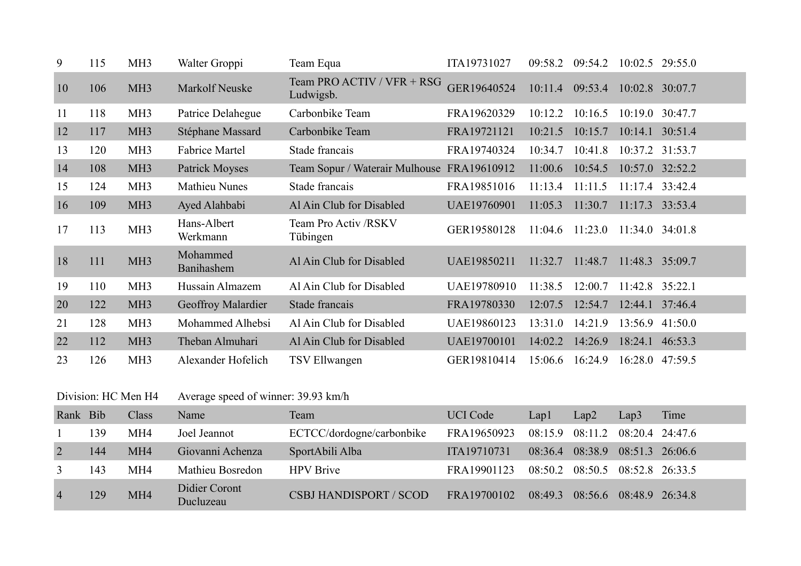| 9              | 115                 | MH <sub>3</sub> | Walter Groppi                       | Team Equa                                  | ITA19731027     | 09:58.2 | 09:54.2         | 10:02.5 29:55.0   |         |
|----------------|---------------------|-----------------|-------------------------------------|--------------------------------------------|-----------------|---------|-----------------|-------------------|---------|
| 10             | 106                 | MH <sub>3</sub> | Markolf Neuske                      | Team PRO ACTIV / VFR + RSG<br>Ludwigsb.    | GER19640524     |         | 10:11.4 09:53.4 | $10:02.8$ 30:07.7 |         |
| 11             | 118                 | MH <sub>3</sub> | Patrice Delahegue                   | Carbonbike Team                            | FRA19620329     | 10:12.2 | 10:16.5         | 10:19.0 30:47.7   |         |
| 12             | 117                 | MH <sub>3</sub> | Stéphane Massard                    | Carbonbike Team                            | FRA19721121     | 10:21.5 | 10:15.7         | 10:14.1 30:51.4   |         |
| 13             | 120                 | MH <sub>3</sub> | <b>Fabrice Martel</b>               | Stade francais                             | FRA19740324     | 10:34.7 | 10:41.8         | 10:37.2 31:53.7   |         |
| 14             | 108                 | MH <sub>3</sub> | <b>Patrick Moyses</b>               | Team Sopur / Waterair Mulhouse FRA19610912 |                 | 11:00.6 | 10:54.5         | 10:57.0 32:52.2   |         |
| 15             | 124                 | MH <sub>3</sub> | <b>Mathieu Nunes</b>                | Stade francais                             | FRA19851016     | 11:13.4 | 11:11.5         | 11:17.4 33:42.4   |         |
| 16             | 109                 | MH <sub>3</sub> | Ayed Alahbabi                       | Al Ain Club for Disabled                   | UAE19760901     | 11:05.3 | 11:30.7         | 11:17.3 33:53.4   |         |
| 17             | 113                 | MH <sub>3</sub> | Hans-Albert<br>Werkmann             | Team Pro Activ /RSKV<br>Tübingen           | GER19580128     | 11:04.6 | 11:23.0         | 11:34.0 34:01.8   |         |
| 18             | 111                 | MH <sub>3</sub> | Mohammed<br>Banihashem              | Al Ain Club for Disabled                   | UAE19850211     | 11:32.7 | 11:48.7         | 11:48.3 35:09.7   |         |
| 19             | 110                 | MH <sub>3</sub> | Hussain Almazem                     | Al Ain Club for Disabled                   | UAE19780910     | 11:38.5 | 12:00.7         | 11:42.8 35:22.1   |         |
| 20             | 122                 | MH <sub>3</sub> | Geoffroy Malardier                  | Stade francais                             | FRA19780330     | 12:07.5 | 12:54.7         | 12:44.1 37:46.4   |         |
| 21             | 128                 | MH <sub>3</sub> | Mohammed Alhebsi                    | Al Ain Club for Disabled                   | UAE19860123     | 13:31.0 | 14:21.9         | 13:56.9 41:50.0   |         |
| 22             | 112                 | MH <sub>3</sub> | Theban Almuhari                     | Al Ain Club for Disabled                   | UAE19700101     | 14:02.2 | 14:26.9         | 18:24.1 46:53.3   |         |
| 23             | 126                 | MH <sub>3</sub> | Alexander Hofelich                  | TSV Ellwangen                              | GER19810414     | 15:06.6 | 16:24.9         | 16:28.0 47:59.5   |         |
|                | Division: HC Men H4 |                 | Average speed of winner: 39.93 km/h |                                            |                 |         |                 |                   |         |
| Rank Bib       |                     | Class           | Name                                | Team                                       | <b>UCI</b> Code | Lap1    | Lap2            | Lap3              | Time    |
|                | 139                 | MH4             | Joel Jeannot                        | ECTCC/dordogne/carbonbike                  | FRA19650923     | 08:15.9 | 08:11.2         | 08:20.4           | 24:47.6 |
| $\overline{2}$ | 144                 | MH <sub>4</sub> | Giovanni Achenza                    | SportAbili Alba                            | ITA19710731     | 08:36.4 | 08:38.9         | 08:51.3 26:06.6   |         |
| 3              | 143                 | MH4             | Mathieu Bosredon                    | <b>HPV</b> Brive                           | FRA19901123     | 08:50.2 | 08:50.5         | 08:52.8 26:33.5   |         |
| $\overline{4}$ | 129                 | MH <sub>4</sub> | <b>Didier Coront</b><br>Ducluzeau   | <b>CSBJ HANDISPORT / SCOD</b>              | FRA19700102     | 08:49.3 | 08:56.6         | 08:48.9 26:34.8   |         |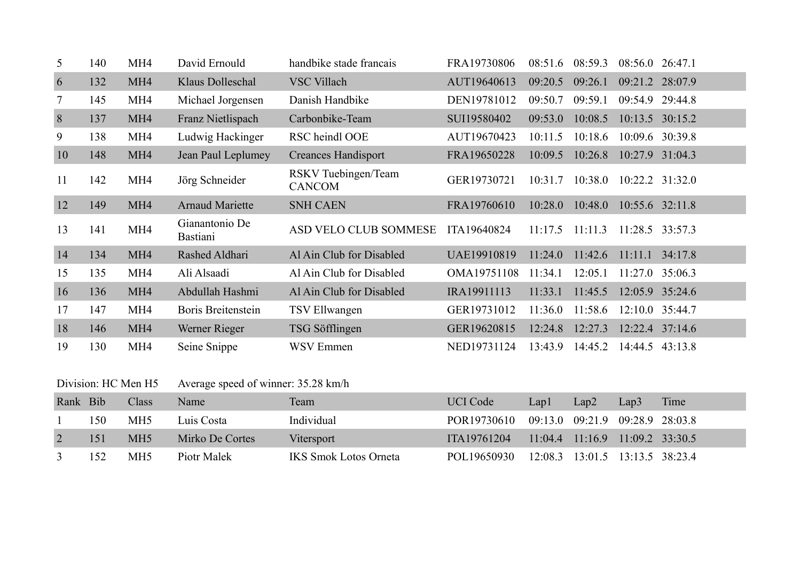| 5  | 140 | MH4             | David Ernould                     | handbike stade francais              | FRA19730806 | 08:51.6 | 08:59.3 | $08:56.0$ 26:47.1 |                     |
|----|-----|-----------------|-----------------------------------|--------------------------------------|-------------|---------|---------|-------------------|---------------------|
| 6  | 132 | MH <sub>4</sub> | Klaus Dolleschal                  | <b>VSC Villach</b>                   | AUT19640613 | 09:20.5 | 09:26.1 |                   | 09:21.2 28:07.9     |
|    | 145 | MH <sub>4</sub> | Michael Jorgensen                 | Danish Handbike                      | DEN19781012 | 09:50.7 | 09:59.1 | 09:54.9           | 29:44.8             |
| 8  | 137 | MH <sub>4</sub> | Franz Nietlispach                 | Carbonbike-Team                      | SUI19580402 | 09:53.0 | 10:08.5 |                   | $10:13.5$ $30:15.2$ |
| 9  | 138 | MH4             | Ludwig Hackinger                  | RSC heindl OOE                       | AUT19670423 | 10:11.5 | 10:18.6 |                   | 10:09.6 30:39.8     |
| 10 | 148 | MH <sub>4</sub> | Jean Paul Leplumey                | <b>Creances Handisport</b>           | FRA19650228 | 10:09.5 | 10:26.8 |                   | 10:27.9 31:04.3     |
| 11 | 142 | MH <sub>4</sub> | Jörg Schneider                    | RSKV Tuebingen/Team<br><b>CANCOM</b> | GER19730721 | 10:31.7 | 10:38.0 |                   | $10:22.2$ $31:32.0$ |
| 12 | 149 | MH <sub>4</sub> | <b>Arnaud Mariette</b>            | <b>SNH CAEN</b>                      | FRA19760610 | 10:28.0 | 10:48.0 | $10:55.6$ 32:11.8 |                     |
| 13 | 141 | MH <sub>4</sub> | Gianantonio De<br><b>Bastiani</b> | ASD VELO CLUB SOMMESE                | ITA19640824 | 11:17.5 | 11:11.3 | 11:28.5 33:57.3   |                     |
| 14 | 134 | MH <sub>4</sub> | Rashed Aldhari                    | Al Ain Club for Disabled             | UAE19910819 | 11:24.0 | 11:42.6 | 11:11.1           | 34:17.8             |
| 15 | 135 | MH <sub>4</sub> | Ali Alsaadi                       | Al Ain Club for Disabled             | OMA19751108 | 11:34.1 | 12:05.1 | 11:27.0           | 35:06.3             |
| 16 | 136 | MH <sub>4</sub> | Abdullah Hashmi                   | Al Ain Club for Disabled             | IRA19911113 | 11:33.1 | 11:45.5 |                   | 12:05.9 35:24.6     |
| 17 | 147 | MH4             | Boris Breitenstein                | TSV Ellwangen                        | GER19731012 | 11:36.0 | 11:58.6 | $12:10.0$ 35:44.7 |                     |
| 18 | 146 | MH <sub>4</sub> | Werner Rieger                     | TSG Söfflingen                       | GER19620815 | 12:24.8 | 12:27.3 |                   | $12:22.4$ 37:14.6   |
| 19 | 130 | MH <sub>4</sub> | Seine Snippe                      | <b>WSV Emmen</b>                     | NED19731124 | 13:43.9 | 14:45.2 |                   | 14:44.5 43:13.8     |

| Division: HC Men H5 |     |                 | Average speed of winner: 35.28 km/h |                              |                 |      |                                         |      |      |  |  |
|---------------------|-----|-----------------|-------------------------------------|------------------------------|-----------------|------|-----------------------------------------|------|------|--|--|
| Rank Bib            |     | Class           | Name                                | Team                         | <b>UCI</b> Code | Lap1 | Lap2                                    | Lap3 | Time |  |  |
|                     | 150 | MH <sub>5</sub> | Luis Costa                          | Individual                   | POR19730610     |      | 09:13.0 09:21.9 09:28.9 28:03.8         |      |      |  |  |
|                     | 151 | MH <sub>5</sub> | Mirko De Cortes                     | Vitersport                   | ITA19761204     |      | $11:04.4$ $11:16.9$ $11:09.2$ $33:30.5$ |      |      |  |  |
|                     | 152 | MH <sub>5</sub> | Piotr Malek                         | <b>IKS Smok Lotos Orneta</b> | POL19650930     |      | 12:08.3 13:01.5 13:13.5 38:23.4         |      |      |  |  |